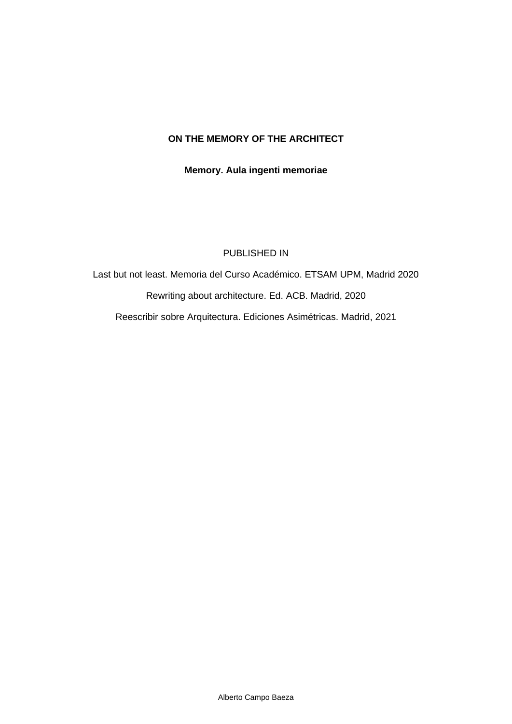# **ON THE MEMORY OF THE ARCHITECT**

**Memory. Aula ingenti memoriae**

#### PUBLISHED IN

Last but not least. Memoria del Curso Académico. ETSAM UPM, Madrid 2020 Rewriting about architecture. Ed. ACB. Madrid, 2020 Reescribir sobre Arquitectura. Ediciones Asimétricas. Madrid, 2021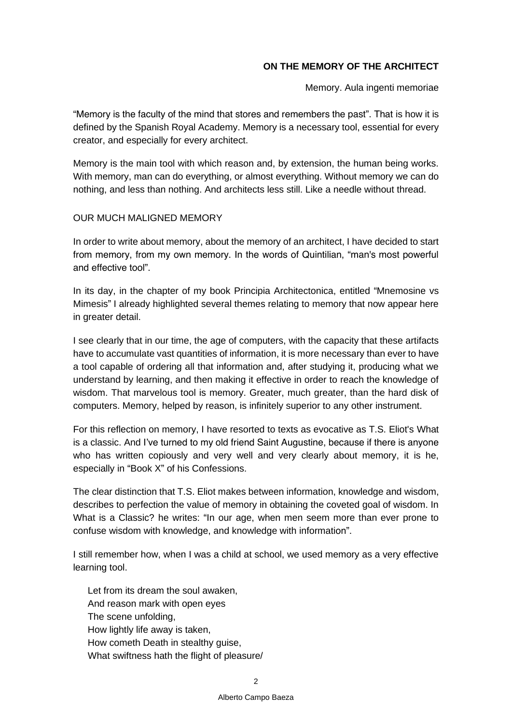### **ON THE MEMORY OF THE ARCHITECT**

Memory. Aula ingenti memoriae

"Memory is the faculty of the mind that stores and remembers the past". That is how it is defined by the Spanish Royal Academy. Memory is a necessary tool, essential for every creator, and especially for every architect.

Memory is the main tool with which reason and, by extension, the human being works. With memory, man can do everything, or almost everything. Without memory we can do nothing, and less than nothing. And architects less still. Like a needle without thread.

#### OUR MUCH MALIGNED MEMORY

In order to write about memory, about the memory of an architect, I have decided to start from memory, from my own memory. In the words of Quintilian, "man's most powerful and effective tool".

In its day, in the chapter of my book *Principia Architectonica*, entitled "Mnemosine vs Mimesis" I already highlighted several themes relating to memory that now appear here in greater detail.

I see clearly that in our time, the age of computers, with the capacity that these artifacts have to accumulate vast quantities of information, it is more necessary than ever to have a tool capable of ordering all that information and, after studying it, producing what we understand by learning, and then making it effective in order to reach the knowledge of wisdom. That marvelous tool is memory. Greater, much greater, than the hard disk of computers. Memory, helped by reason, is infinitely superior to any other instrument.

For this reflection on memory, I have resorted to texts as evocative as T.S. Eliot's *What is a classic*. And I've turned to my old friend Saint Augustine, because if there is anyone who has written copiously and very well and very clearly about memory, it is he, especially in "Book X" of his *Confessions*.

The clear distinction that T.S. Eliot makes between information, knowledge and wisdom, describes to perfection the value of memory in obtaining the coveted goal of wisdom. In *What is a Classic?* he writes: "In our age, when men seem more than ever prone to confuse wisdom with knowledge, and knowledge with information".

I still remember how, when I was a child at school, we used memory as a very effective learning tool*.* 

Let from its dream the soul awaken, And reason mark with open eyes The scene unfolding, How lightly life away is taken, How cometh Death in stealthy guise, What swiftness hath the flight of pleasure/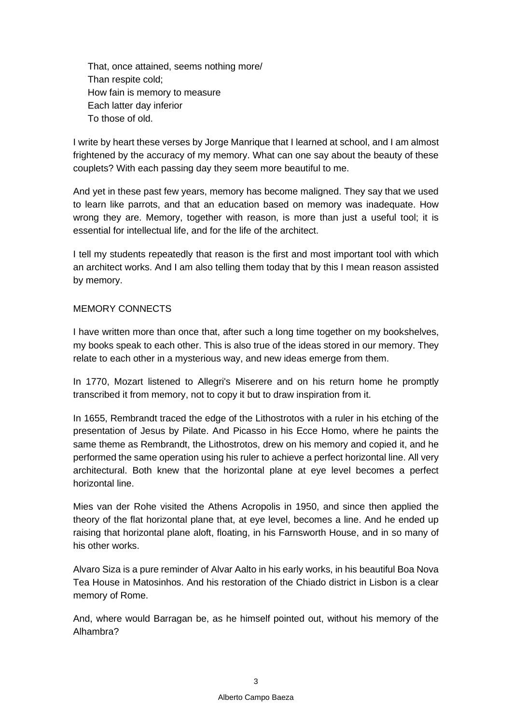That, once attained, seems nothing more/ Than respite cold; How fain is memory to measure Each latter day inferior To those of old.

I write by heart these verses by Jorge Manrique that I learned at school, and I am almost frightened by the accuracy of my memory. What can one say about the beauty of these couplets? With each passing day they seem more beautiful to me.

And yet in these past few years, memory has become maligned. They say that we used to learn like parrots, and that an education based on memory was inadequate. How wrong they are. Memory, together with reason, is more than just a useful tool; it is essential for intellectual life, and for the life of the architect.

I tell my students repeatedly that reason is the first and most important tool with which an architect works. And I am also telling them today that by this I mean reason assisted by memory.

#### MEMORY CONNECTS

I have written more than once that, after such a long time together on my bookshelves, my books speak to each other. This is also true of the ideas stored in our memory. They relate to each other in a mysterious way, and new ideas emerge from them.

In 1770, Mozart listened to Allegri's *Miserere* and on his return home he promptly transcribed it from memory, not to copy it but to draw inspiration from it.

In 1655, Rembrandt traced the edge of the Lithostrotos with a ruler in his etching of the presentation of Jesus by Pilate. And Picasso in his Ecce Homo, where he paints the same theme as Rembrandt, the *Lithostrotos*, drew on his memory and copied it, and he performed the same operation using his ruler to achieve a perfect horizontal line. All very architectural. Both knew that the horizontal plane at eye level becomes a perfect horizontal line.

Mies van der Rohe visited the Athens Acropolis in 1950, and since then applied the theory of the flat horizontal plane that, at eye level, becomes a line. And he ended up raising that horizontal plane aloft, floating, in his Farnsworth House, and in so many of his other works.

Alvaro Siza is a pure reminder of Alvar Aalto in his early works, in his beautiful Boa Nova Tea House in Matosinhos. And his restoration of the Chiado district in Lisbon is a clear memory of Rome.

And, where would Barragan be, as he himself pointed out, without his memory of the Alhambra?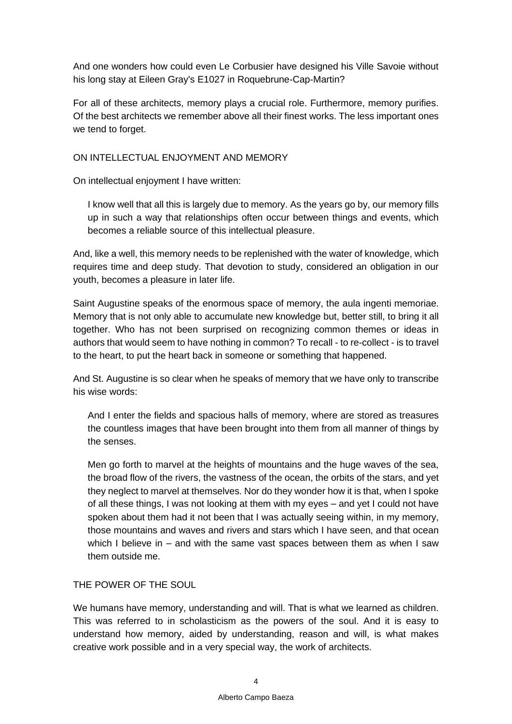And one wonders how could even Le Corbusier have designed his Ville Savoie without his long stay at Eileen Gray's E1027 in Roquebrune-Cap-Martin?

For all of these architects, memory plays a crucial role. Furthermore, memory purifies. Of the best architects we remember above all their finest works. The less important ones we tend to forget.

### ON INTELLECTUAL ENJOYMENT AND MEMORY

On intellectual enjoyment I have written:

I know well that all this is largely due to memory. As the years go by, our memory fills up in such a way that relationships often occur between things and events, which becomes a reliable source of this intellectual pleasure.

And, like a well, this memory needs to be replenished with the water of knowledge, which requires time and deep study. That devotion to study, considered an obligation in our youth, becomes a pleasure in later life.

Saint Augustine speaks of the enormous space of memory, the *aula ingenti memoriae.*  Memory that is not only able to accumulate new knowledge but, better still, to bring it all together. Who has not been surprised on recognizing common themes or ideas in authors that would seem to have nothing in common? To recall - to re-collect - is to travel to the heart, to put the heart back in someone or something that happened.

And St. Augustine is so clear when he speaks of memory that we have only to transcribe his wise words:

And I enter the fields and spacious halls of memory, where are stored as treasures the countless images that have been brought into them from all manner of things by the senses.

Men go forth to marvel at the heights of mountains and the huge waves of the sea, the broad flow of the rivers, the vastness of the ocean, the orbits of the stars, and yet they neglect to marvel at themselves. Nor do they wonder how it is that, when I spoke of all these things, I was not looking at them with my eyes – and yet I could not have spoken about them had it not been that I was actually seeing within, in my memory, those mountains and waves and rivers and stars which I have seen, and that ocean which I believe in – and with the same vast spaces between them as when I saw them outside me.

# THE POWER OF THE SOUL

We humans have memory, understanding and will. That is what we learned as children. This was referred to in scholasticism as the powers of the soul. And it is easy to understand how memory, aided by understanding, reason and will, is what makes creative work possible and in a very special way, the work of architects.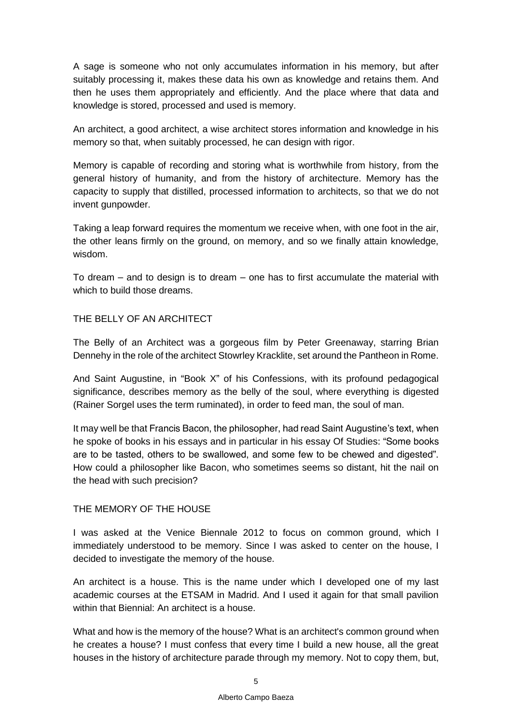A sage is someone who not only accumulates information in his memory, but after suitably processing it, makes these data his own as knowledge and retains them. And then he uses them appropriately and efficiently. And the place where that data and knowledge is stored, processed and used is memory.

An architect, a good architect, a wise architect stores information and knowledge in his memory so that, when suitably processed, he can design with rigor.

Memory is capable of recording and storing what is worthwhile from history, from the general history of humanity, and from the history of architecture. Memory has the capacity to supply that distilled, processed information to architects, so that we do not invent gunpowder.

Taking a leap forward requires the momentum we receive when, with one foot in the air, the other leans firmly on the ground, on memory, and so we finally attain knowledge, wisdom.

To dream – and to design is to dream – one has to first accumulate the material with which to build those dreams.

# THE BELLY OF AN ARCHITECT

*The Belly of an Architect* was a gorgeous film by Peter Greenaway, starring Brian Dennehy in the role of the architect Stowrley Kracklite, set around the Pantheon in Rome.

And Saint Augustine, in "Book X" of his *Confessions*, with its profound pedagogical significance, describes memory as *the belly of the soul,* where everything is digested (Rainer Sorgel uses the term ruminated), in order to feed man, the soul of man.

It may well be that Francis Bacon, the philosopher, had read Saint Augustine's text, when he spoke of books in his essays and in particular in his essay *Of Studies*: "Some books are to be tasted, others to be swallowed, and some few to be chewed and digested". How could a philosopher like Bacon, who sometimes seems so distant, hit the nail on the head with such precision?

#### THE MEMORY OF THE HOUSE

I was asked at the Venice Biennale 2012 to focus on *common ground*, which I immediately understood to be memory. Since I was asked to center on the house, I decided to investigate the memory of the house.

*An architect is a house*. This is the name under which I developed one of my last academic courses at the ETSAM in Madrid. And I used it again for that small pavilion within that Biennial: An architect is a house.

What and how is the memory of the house? What is an architect's *common ground* when he creates a house? I must confess that every time I build a new house, all the great houses in the history of architecture parade through my memory. Not to copy them, but,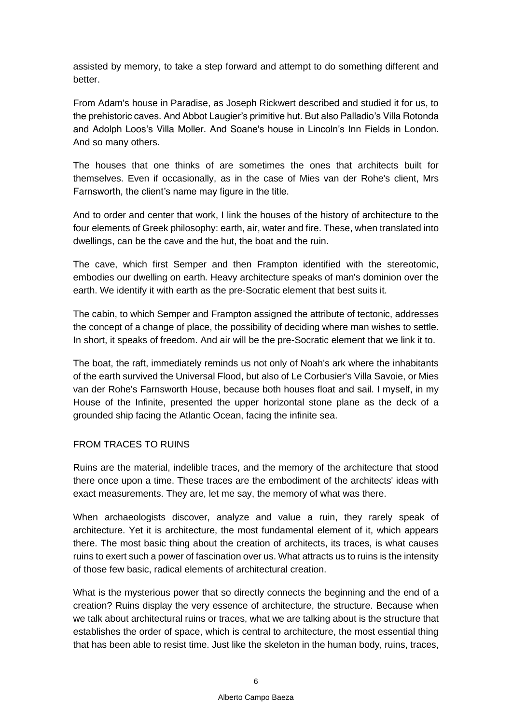assisted by memory, to take a step forward and attempt to do something different and better.

From Adam's house in Paradise, as Joseph Rickwert described and studied it for us, to the prehistoric caves. And Abbot Laugier's primitive hut. But also Palladio's Villa Rotonda and Adolph Loos's Villa Moller. And Soane's house in Lincoln's Inn Fields in London. And so many others.

The houses that one thinks of are sometimes the ones that architects built for themselves. Even if occasionally, as in the case of Mies van der Rohe's client, Mrs Farnsworth, the client's name may figure in the title.

And to order and center that work, I link the houses of the history of architecture to the four elements of Greek philosophy: earth, air, water and fire. These, when translated into dwellings, can be the cave and the hut, the boat and the ruin.

The cave, which first Semper and then Frampton identified with the stereotomic, embodies our dwelling on earth. Heavy architecture speaks of man's dominion over the earth. We identify it with earth as the pre-Socratic element that best suits it.

The cabin, to which Semper and Frampton assigned the attribute of tectonic, addresses the concept of a change of place, the possibility of deciding where man wishes to settle. In short, it speaks of freedom. And air will be the pre-Socratic element that we link it to.

The boat, the raft, immediately reminds us not only of Noah's ark where the inhabitants of the earth survived the Universal Flood, but also of Le Corbusier's Villa Savoie, or Mies van der Rohe's Farnsworth House, because both houses float and sail. I myself, in my House of the Infinite, presented the upper horizontal stone plane as the deck of a grounded ship facing the Atlantic Ocean, facing the infinite sea.

# FROM TRACES TO RUINS

Ruins are the material, indelible traces, and the memory of the architecture that stood there once upon a time. These traces are the embodiment of the architects' ideas with exact measurements. They are, let me say, the memory of what was there.

When archaeologists discover, analyze and value a ruin, they rarely speak of architecture. Yet it is architecture, the most fundamental element of it, which appears there. The most basic thing about the creation of architects, its traces, is what causes ruins to exert such a power of fascination over us. What attracts us to ruins is the intensity of those few basic, radical elements of architectural creation.

What is the mysterious power that so directly connects the beginning and the end of a creation? Ruins display the very essence of architecture, the structure. Because when we talk about architectural ruins or traces, what we are talking about is the structure that establishes the order of space, which is central to architecture, the most essential thing that has been able to resist time. Just like the skeleton in the human body, ruins, traces,